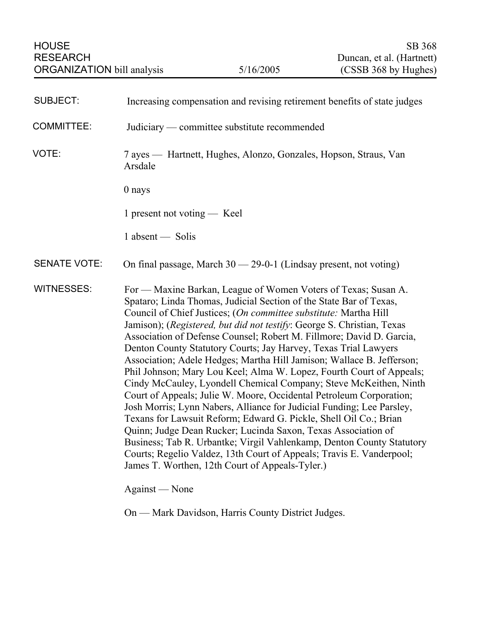| <b>SUBJECT:</b>     | Increasing compensation and revising retirement benefits of state judges                                                                                                                                                                                                                                                                                                                                                                                                                                                                                                                                                                                                                                                                                                                                                                                                                                                                                                                                                                                                                                                                                        |
|---------------------|-----------------------------------------------------------------------------------------------------------------------------------------------------------------------------------------------------------------------------------------------------------------------------------------------------------------------------------------------------------------------------------------------------------------------------------------------------------------------------------------------------------------------------------------------------------------------------------------------------------------------------------------------------------------------------------------------------------------------------------------------------------------------------------------------------------------------------------------------------------------------------------------------------------------------------------------------------------------------------------------------------------------------------------------------------------------------------------------------------------------------------------------------------------------|
| <b>COMMITTEE:</b>   | Judiciary — committee substitute recommended                                                                                                                                                                                                                                                                                                                                                                                                                                                                                                                                                                                                                                                                                                                                                                                                                                                                                                                                                                                                                                                                                                                    |
| VOTE:               | 7 ayes — Hartnett, Hughes, Alonzo, Gonzales, Hopson, Straus, Van<br>Arsdale                                                                                                                                                                                                                                                                                                                                                                                                                                                                                                                                                                                                                                                                                                                                                                                                                                                                                                                                                                                                                                                                                     |
|                     | 0 nays                                                                                                                                                                                                                                                                                                                                                                                                                                                                                                                                                                                                                                                                                                                                                                                                                                                                                                                                                                                                                                                                                                                                                          |
|                     | 1 present not voting — Keel                                                                                                                                                                                                                                                                                                                                                                                                                                                                                                                                                                                                                                                                                                                                                                                                                                                                                                                                                                                                                                                                                                                                     |
|                     | 1 absent - Solis                                                                                                                                                                                                                                                                                                                                                                                                                                                                                                                                                                                                                                                                                                                                                                                                                                                                                                                                                                                                                                                                                                                                                |
| <b>SENATE VOTE:</b> | On final passage, March $30 - 29 - 0 - 1$ (Lindsay present, not voting)                                                                                                                                                                                                                                                                                                                                                                                                                                                                                                                                                                                                                                                                                                                                                                                                                                                                                                                                                                                                                                                                                         |
| <b>WITNESSES:</b>   | For — Maxine Barkan, League of Women Voters of Texas; Susan A.<br>Spataro; Linda Thomas, Judicial Section of the State Bar of Texas,<br>Council of Chief Justices; (On committee substitute: Martha Hill<br>Jamison); (Registered, but did not testify: George S. Christian, Texas<br>Association of Defense Counsel; Robert M. Fillmore; David D. Garcia,<br>Denton County Statutory Courts; Jay Harvey, Texas Trial Lawyers<br>Association; Adele Hedges; Martha Hill Jamison; Wallace B. Jefferson;<br>Phil Johnson; Mary Lou Keel; Alma W. Lopez, Fourth Court of Appeals;<br>Cindy McCauley, Lyondell Chemical Company; Steve McKeithen, Ninth<br>Court of Appeals; Julie W. Moore, Occidental Petroleum Corporation;<br>Josh Morris; Lynn Nabers, Alliance for Judicial Funding; Lee Parsley,<br>Texans for Lawsuit Reform; Edward G. Pickle, Shell Oil Co.; Brian<br>Quinn; Judge Dean Rucker; Lucinda Saxon, Texas Association of<br>Business; Tab R. Urbantke; Virgil Vahlenkamp, Denton County Statutory<br>Courts; Regelio Valdez, 13th Court of Appeals; Travis E. Vanderpool;<br>James T. Worthen, 12th Court of Appeals-Tyler.)<br>Against — None |

On — Mark Davidson, Harris County District Judges.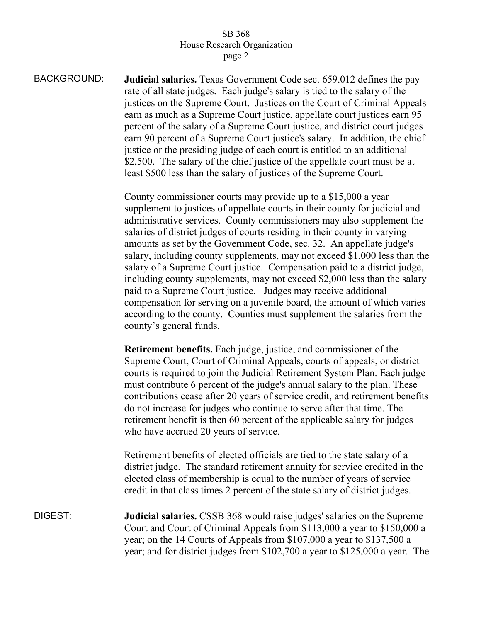BACKGROUND: **Judicial salaries.** Texas Government Code sec. 659.012 defines the pay rate of all state judges. Each judge's salary is tied to the salary of the justices on the Supreme Court. Justices on the Court of Criminal Appeals earn as much as a Supreme Court justice, appellate court justices earn 95 percent of the salary of a Supreme Court justice, and district court judges earn 90 percent of a Supreme Court justice's salary. In addition, the chief justice or the presiding judge of each court is entitled to an additional \$2,500. The salary of the chief justice of the appellate court must be at least \$500 less than the salary of justices of the Supreme Court.

> County commissioner courts may provide up to a \$15,000 a year supplement to justices of appellate courts in their county for judicial and administrative services. County commissioners may also supplement the salaries of district judges of courts residing in their county in varying amounts as set by the Government Code, sec. 32. An appellate judge's salary, including county supplements, may not exceed \$1,000 less than the salary of a Supreme Court justice. Compensation paid to a district judge, including county supplements, may not exceed \$2,000 less than the salary paid to a Supreme Court justice. Judges may receive additional compensation for serving on a juvenile board, the amount of which varies according to the county. Counties must supplement the salaries from the county's general funds.

> **Retirement benefits.** Each judge, justice, and commissioner of the Supreme Court, Court of Criminal Appeals, courts of appeals, or district courts is required to join the Judicial Retirement System Plan. Each judge must contribute 6 percent of the judge's annual salary to the plan. These contributions cease after 20 years of service credit, and retirement benefits do not increase for judges who continue to serve after that time. The retirement benefit is then 60 percent of the applicable salary for judges who have accrued 20 years of service.

Retirement benefits of elected officials are tied to the state salary of a district judge. The standard retirement annuity for service credited in the elected class of membership is equal to the number of years of service credit in that class times 2 percent of the state salary of district judges.

DIGEST: **Judicial salaries.** CSSB 368 would raise judges' salaries on the Supreme Court and Court of Criminal Appeals from \$113,000 a year to \$150,000 a year; on the 14 Courts of Appeals from \$107,000 a year to \$137,500 a year; and for district judges from \$102,700 a year to \$125,000 a year. The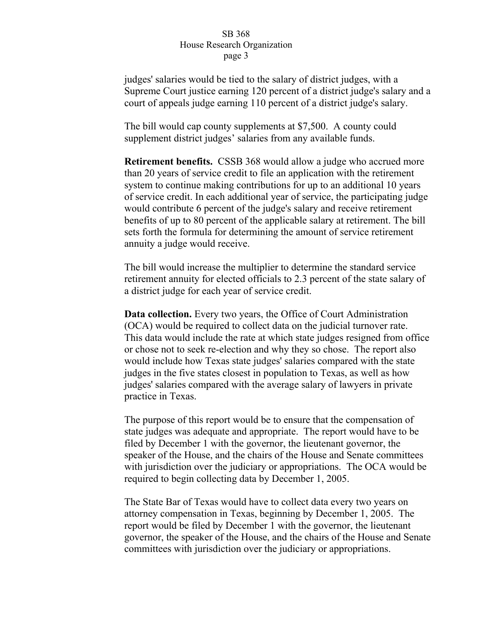judges' salaries would be tied to the salary of district judges, with a Supreme Court justice earning 120 percent of a district judge's salary and a court of appeals judge earning 110 percent of a district judge's salary.

The bill would cap county supplements at \$7,500. A county could supplement district judges' salaries from any available funds.

**Retirement benefits.** CSSB 368 would allow a judge who accrued more than 20 years of service credit to file an application with the retirement system to continue making contributions for up to an additional 10 years of service credit. In each additional year of service, the participating judge would contribute 6 percent of the judge's salary and receive retirement benefits of up to 80 percent of the applicable salary at retirement. The bill sets forth the formula for determining the amount of service retirement annuity a judge would receive.

The bill would increase the multiplier to determine the standard service retirement annuity for elected officials to 2.3 percent of the state salary of a district judge for each year of service credit.

**Data collection.** Every two years, the Office of Court Administration (OCA) would be required to collect data on the judicial turnover rate. This data would include the rate at which state judges resigned from office or chose not to seek re-election and why they so chose. The report also would include how Texas state judges' salaries compared with the state judges in the five states closest in population to Texas, as well as how judges' salaries compared with the average salary of lawyers in private practice in Texas.

The purpose of this report would be to ensure that the compensation of state judges was adequate and appropriate. The report would have to be filed by December 1 with the governor, the lieutenant governor, the speaker of the House, and the chairs of the House and Senate committees with jurisdiction over the judiciary or appropriations. The OCA would be required to begin collecting data by December 1, 2005.

The State Bar of Texas would have to collect data every two years on attorney compensation in Texas, beginning by December 1, 2005. The report would be filed by December 1 with the governor, the lieutenant governor, the speaker of the House, and the chairs of the House and Senate committees with jurisdiction over the judiciary or appropriations.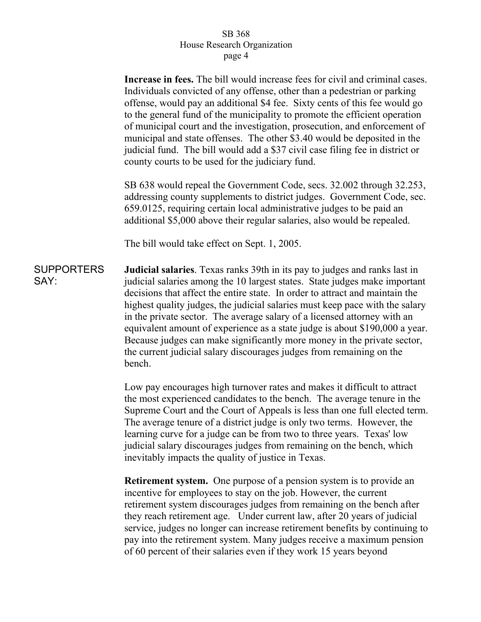**Increase in fees.** The bill would increase fees for civil and criminal cases. Individuals convicted of any offense, other than a pedestrian or parking offense, would pay an additional \$4 fee. Sixty cents of this fee would go to the general fund of the municipality to promote the efficient operation of municipal court and the investigation, prosecution, and enforcement of municipal and state offenses. The other \$3.40 would be deposited in the judicial fund. The bill would add a \$37 civil case filing fee in district or county courts to be used for the judiciary fund.

SB 638 would repeal the Government Code, secs. 32.002 through 32.253, addressing county supplements to district judges. Government Code, sec. 659.0125, requiring certain local administrative judges to be paid an additional \$5,000 above their regular salaries, also would be repealed.

The bill would take effect on Sept. 1, 2005.

**SUPPORTERS** SAY: **Judicial salaries**. Texas ranks 39th in its pay to judges and ranks last in judicial salaries among the 10 largest states. State judges make important decisions that affect the entire state. In order to attract and maintain the highest quality judges, the judicial salaries must keep pace with the salary in the private sector. The average salary of a licensed attorney with an equivalent amount of experience as a state judge is about \$190,000 a year. Because judges can make significantly more money in the private sector, the current judicial salary discourages judges from remaining on the bench.

> Low pay encourages high turnover rates and makes it difficult to attract the most experienced candidates to the bench. The average tenure in the Supreme Court and the Court of Appeals is less than one full elected term. The average tenure of a district judge is only two terms. However, the learning curve for a judge can be from two to three years. Texas' low judicial salary discourages judges from remaining on the bench, which inevitably impacts the quality of justice in Texas.

> **Retirement system.** One purpose of a pension system is to provide an incentive for employees to stay on the job. However, the current retirement system discourages judges from remaining on the bench after they reach retirement age. Under current law, after 20 years of judicial service, judges no longer can increase retirement benefits by continuing to pay into the retirement system. Many judges receive a maximum pension of 60 percent of their salaries even if they work 15 years beyond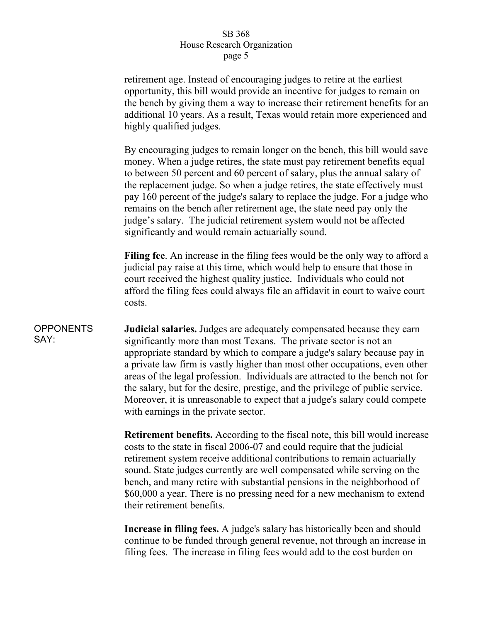retirement age. Instead of encouraging judges to retire at the earliest opportunity, this bill would provide an incentive for judges to remain on the bench by giving them a way to increase their retirement benefits for an additional 10 years. As a result, Texas would retain more experienced and highly qualified judges.

By encouraging judges to remain longer on the bench, this bill would save money. When a judge retires, the state must pay retirement benefits equal to between 50 percent and 60 percent of salary, plus the annual salary of the replacement judge. So when a judge retires, the state effectively must pay 160 percent of the judge's salary to replace the judge. For a judge who remains on the bench after retirement age, the state need pay only the judge's salary. The judicial retirement system would not be affected significantly and would remain actuarially sound.

**Filing fee**. An increase in the filing fees would be the only way to afford a judicial pay raise at this time, which would help to ensure that those in court received the highest quality justice. Individuals who could not afford the filing fees could always file an affidavit in court to waive court costs.

**OPPONENTS** SAY: **Judicial salaries.** Judges are adequately compensated because they earn significantly more than most Texans. The private sector is not an appropriate standard by which to compare a judge's salary because pay in a private law firm is vastly higher than most other occupations, even other areas of the legal profession. Individuals are attracted to the bench not for the salary, but for the desire, prestige, and the privilege of public service. Moreover, it is unreasonable to expect that a judge's salary could compete with earnings in the private sector.

> **Retirement benefits.** According to the fiscal note, this bill would increase costs to the state in fiscal 2006-07 and could require that the judicial retirement system receive additional contributions to remain actuarially sound. State judges currently are well compensated while serving on the bench, and many retire with substantial pensions in the neighborhood of \$60,000 a year. There is no pressing need for a new mechanism to extend their retirement benefits.

> **Increase in filing fees.** A judge's salary has historically been and should continue to be funded through general revenue, not through an increase in filing fees. The increase in filing fees would add to the cost burden on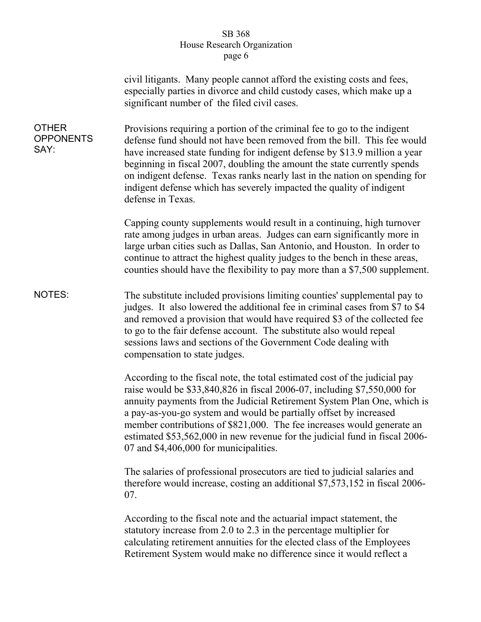|                                          | civil litigants. Many people cannot afford the existing costs and fees,<br>especially parties in divorce and child custody cases, which make up a<br>significant number of the filed civil cases.                                                                                                                                                                                                                                                                                                         |
|------------------------------------------|-----------------------------------------------------------------------------------------------------------------------------------------------------------------------------------------------------------------------------------------------------------------------------------------------------------------------------------------------------------------------------------------------------------------------------------------------------------------------------------------------------------|
| <b>OTHER</b><br><b>OPPONENTS</b><br>SAY: | Provisions requiring a portion of the criminal fee to go to the indigent<br>defense fund should not have been removed from the bill. This fee would<br>have increased state funding for indigent defense by \$13.9 million a year<br>beginning in fiscal 2007, doubling the amount the state currently spends<br>on indigent defense. Texas ranks nearly last in the nation on spending for<br>indigent defense which has severely impacted the quality of indigent<br>defense in Texas.                  |
|                                          | Capping county supplements would result in a continuing, high turnover<br>rate among judges in urban areas. Judges can earn significantly more in<br>large urban cities such as Dallas, San Antonio, and Houston. In order to<br>continue to attract the highest quality judges to the bench in these areas,<br>counties should have the flexibility to pay more than a \$7,500 supplement.                                                                                                               |
| NOTES:                                   | The substitute included provisions limiting counties' supplemental pay to<br>judges. It also lowered the additional fee in criminal cases from \$7 to \$4<br>and removed a provision that would have required \$3 of the collected fee<br>to go to the fair defense account. The substitute also would repeal<br>sessions laws and sections of the Government Code dealing with<br>compensation to state judges.                                                                                          |
|                                          | According to the fiscal note, the total estimated cost of the judicial pay<br>raise would be \$33,840,826 in fiscal 2006-07, including \$7,550,000 for<br>annuity payments from the Judicial Retirement System Plan One, which is<br>a pay-as-you-go system and would be partially offset by increased<br>member contributions of \$821,000. The fee increases would generate an<br>estimated \$53,562,000 in new revenue for the judicial fund in fiscal 2006-<br>07 and \$4,406,000 for municipalities. |
|                                          | The salaries of professional prosecutors are tied to judicial salaries and<br>therefore would increase, costing an additional \$7,573,152 in fiscal 2006-<br>07.                                                                                                                                                                                                                                                                                                                                          |
|                                          | According to the fiscal note and the actuarial impact statement, the<br>statutory increase from 2.0 to 2.3 in the percentage multiplier for<br>calculating retirement annuities for the elected class of the Employees<br>Retirement System would make no difference since it would reflect a                                                                                                                                                                                                             |